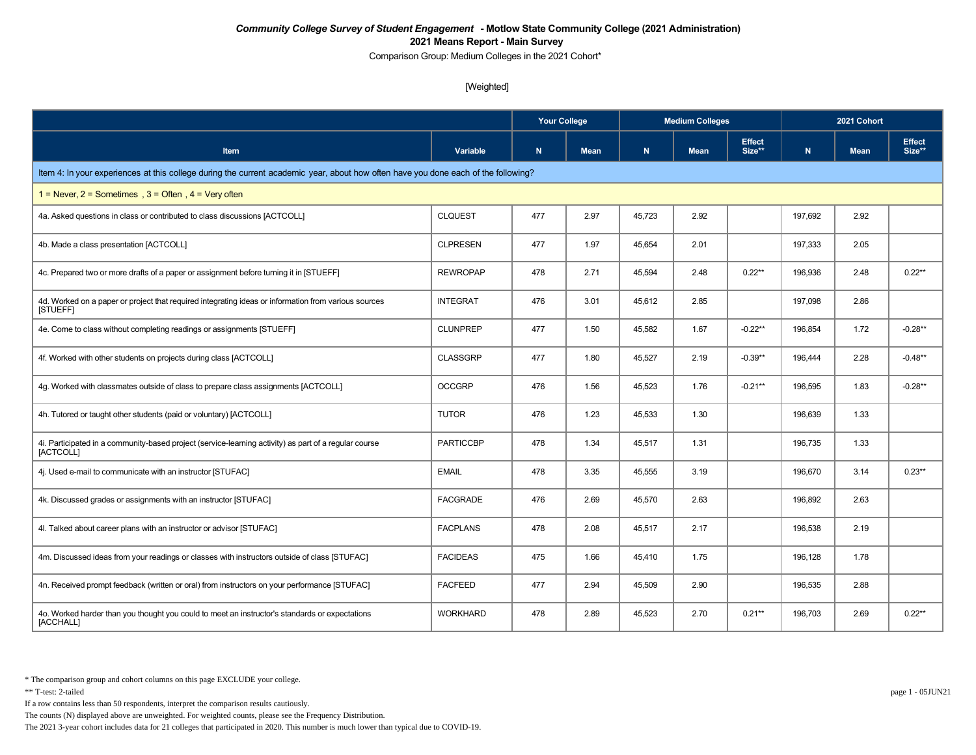Comparison Group: Medium Colleges in the 2021 Cohort\*

### [Weighted]

|                                                                                                                                    |                  | <b>Your College</b> |             |        | <b>Medium Colleges</b> |                         | 2021 Cohort |             |                         |  |
|------------------------------------------------------------------------------------------------------------------------------------|------------------|---------------------|-------------|--------|------------------------|-------------------------|-------------|-------------|-------------------------|--|
| Item                                                                                                                               | Variable         | $\mathbf N$         | <b>Mean</b> | N      | <b>Mean</b>            | <b>Effect</b><br>Size** | N           | <b>Mean</b> | <b>Effect</b><br>Size** |  |
| Item 4: In your experiences at this college during the current academic year, about how often have you done each of the following? |                  |                     |             |        |                        |                         |             |             |                         |  |
| 1 = Never, $2$ = Sometimes, $3$ = Often, $4$ = Very often                                                                          |                  |                     |             |        |                        |                         |             |             |                         |  |
| 4a. Asked questions in class or contributed to class discussions [ACTCOLL]                                                         | <b>CLQUEST</b>   | 477                 | 2.97        | 45.723 | 2.92                   |                         | 197.692     | 2.92        |                         |  |
| 4b. Made a class presentation [ACTCOLL]                                                                                            | <b>CLPRESEN</b>  | 477                 | 1.97        | 45,654 | 2.01                   |                         | 197,333     | 2.05        |                         |  |
| 4c. Prepared two or more drafts of a paper or assignment before turning it in [STUEFF]                                             | <b>REWROPAP</b>  | 478                 | 2.71        | 45,594 | 2.48                   | $0.22**$                | 196,936     | 2.48        | $0.22**$                |  |
| 4d. Worked on a paper or project that required integrating ideas or information from various sources<br>[STUEFF]                   | <b>INTEGRAT</b>  | 476                 | 3.01        | 45,612 | 2.85                   |                         | 197.098     | 2.86        |                         |  |
| 4e. Come to class without completing readings or assignments [STUEFF]                                                              | <b>CLUNPREP</b>  | 477                 | 1.50        | 45,582 | 1.67                   | $-0.22**$               | 196.854     | 1.72        | $-0.28**$               |  |
| 4f. Worked with other students on projects during class [ACTCOLL]                                                                  | <b>CLASSGRP</b>  | 477                 | 1.80        | 45,527 | 2.19                   | $-0.39**$               | 196,444     | 2.28        | $-0.48**$               |  |
| 4g. Worked with classmates outside of class to prepare class assignments [ACTCOLL]                                                 | <b>OCCGRP</b>    | 476                 | 1.56        | 45,523 | 1.76                   | $-0.21**$               | 196,595     | 1.83        | $-0.28**$               |  |
| 4h. Tutored or taught other students (paid or voluntary) [ACTCOLL]                                                                 | <b>TUTOR</b>     | 476                 | 1.23        | 45,533 | 1.30                   |                         | 196,639     | 1.33        |                         |  |
| 4i. Participated in a community-based project (service-learning activity) as part of a regular course<br>[ACTCOLL]                 | <b>PARTICCBP</b> | 478                 | 1.34        | 45,517 | 1.31                   |                         | 196,735     | 1.33        |                         |  |
| 4j. Used e-mail to communicate with an instructor [STUFAC]                                                                         | <b>EMAIL</b>     | 478                 | 3.35        | 45,555 | 3.19                   |                         | 196,670     | 3.14        | $0.23**$                |  |
| 4k. Discussed grades or assignments with an instructor [STUFAC]                                                                    | <b>FACGRADE</b>  | 476                 | 2.69        | 45,570 | 2.63                   |                         | 196,892     | 2.63        |                         |  |
| 4l. Talked about career plans with an instructor or advisor [STUFAC]                                                               | <b>FACPLANS</b>  | 478                 | 2.08        | 45,517 | 2.17                   |                         | 196,538     | 2.19        |                         |  |
| 4m. Discussed ideas from your readings or classes with instructors outside of class [STUFAC]                                       | <b>FACIDEAS</b>  | 475                 | 1.66        | 45,410 | 1.75                   |                         | 196,128     | 1.78        |                         |  |
| 4n. Received prompt feedback (written or oral) from instructors on your performance [STUFAC]                                       | <b>FACFEED</b>   | 477                 | 2.94        | 45,509 | 2.90                   |                         | 196,535     | 2.88        |                         |  |
| 4o. Worked harder than you thought you could to meet an instructor's standards or expectations<br>[ACCHALL]                        | <b>WORKHARD</b>  | 478                 | 2.89        | 45,523 | 2.70                   | $0.21**$                | 196,703     | 2.69        | $0.22**$                |  |

\* The comparison group and cohort columns on this page EXCLUDE your college.

\*\* T-test: 2-tailed page 1 - 05JUN21

If a row contains less than 50 respondents, interpret the comparison results cautiously.

The counts (N) displayed above are unweighted. For weighted counts, please see the Frequency Distribution.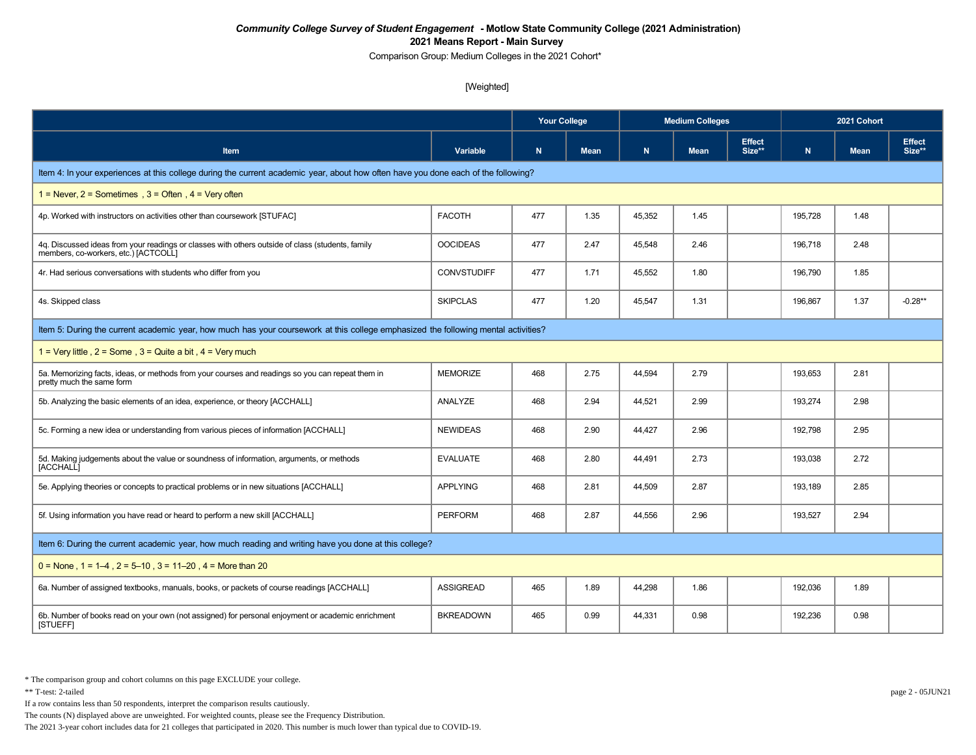Comparison Group: Medium Colleges in the 2021 Cohort\*

### [Weighted]

|                                                                                                                                          |                    | <b>Your College</b> |             | <b>Medium Colleges</b> |             |                         | 2021 Cohort |             |                         |  |  |
|------------------------------------------------------------------------------------------------------------------------------------------|--------------------|---------------------|-------------|------------------------|-------------|-------------------------|-------------|-------------|-------------------------|--|--|
| <b>Item</b>                                                                                                                              | Variable           | $\mathbf N$         | <b>Mean</b> | N                      | <b>Mean</b> | <b>Effect</b><br>Size** | N           | <b>Mean</b> | <b>Effect</b><br>Size** |  |  |
| Item 4: In your experiences at this college during the current academic year, about how often have you done each of the following?       |                    |                     |             |                        |             |                         |             |             |                         |  |  |
| 1 = Never, $2$ = Sometimes, $3$ = Often, $4$ = Very often                                                                                |                    |                     |             |                        |             |                         |             |             |                         |  |  |
| 4p. Worked with instructors on activities other than coursework [STUFAC]                                                                 | <b>FACOTH</b>      | 477                 | 1.35        | 45,352                 | 1.45        |                         | 195,728     | 1.48        |                         |  |  |
| 4q. Discussed ideas from your readings or classes with others outside of class (students, family<br>members, co-workers, etc.) [ACTCOLL] | <b>OOCIDEAS</b>    | 477                 | 2.47        | 45,548                 | 2.46        |                         | 196,718     | 2.48        |                         |  |  |
| 4r. Had serious conversations with students who differ from you                                                                          | <b>CONVSTUDIFF</b> | 477                 | 1.71        | 45,552                 | 1.80        |                         | 196,790     | 1.85        |                         |  |  |
| 4s. Skipped class                                                                                                                        | <b>SKIPCLAS</b>    | 477                 | 1.20        | 45,547                 | 1.31        |                         | 196.867     | 1.37        | $-0.28**$               |  |  |
| Item 5: During the current academic year, how much has your coursework at this college emphasized the following mental activities?       |                    |                     |             |                        |             |                         |             |             |                         |  |  |
| 1 = Very little, $2 =$ Some, $3 =$ Quite a bit, $4 =$ Very much                                                                          |                    |                     |             |                        |             |                         |             |             |                         |  |  |
| 5a. Memorizing facts, ideas, or methods from your courses and readings so you can repeat them in<br>pretty much the same form            | <b>MEMORIZE</b>    | 468                 | 2.75        | 44,594                 | 2.79        |                         | 193,653     | 2.81        |                         |  |  |
| 5b. Analyzing the basic elements of an idea, experience, or theory [ACCHALL]                                                             | ANALYZE            | 468                 | 2.94        | 44,521                 | 2.99        |                         | 193,274     | 2.98        |                         |  |  |
| 5c. Forming a new idea or understanding from various pieces of information [ACCHALL]                                                     | <b>NEWIDEAS</b>    | 468                 | 2.90        | 44,427                 | 2.96        |                         | 192,798     | 2.95        |                         |  |  |
| 5d. Making judgements about the value or soundness of information, arguments, or methods<br>[ACCHALL]                                    | <b>EVALUATE</b>    | 468                 | 2.80        | 44,491                 | 2.73        |                         | 193,038     | 2.72        |                         |  |  |
| 5e. Applying theories or concepts to practical problems or in new situations [ACCHALL]                                                   | <b>APPLYING</b>    | 468                 | 2.81        | 44,509                 | 2.87        |                         | 193,189     | 2.85        |                         |  |  |
| 5f. Using information you have read or heard to perform a new skill [ACCHALL]                                                            | <b>PERFORM</b>     | 468                 | 2.87        | 44,556                 | 2.96        |                         | 193,527     | 2.94        |                         |  |  |
| Item 6: During the current academic year, how much reading and writing have you done at this college?                                    |                    |                     |             |                        |             |                         |             |             |                         |  |  |
| $0 =$ None, 1 = 1–4, 2 = 5–10, 3 = 11–20, 4 = More than 20                                                                               |                    |                     |             |                        |             |                         |             |             |                         |  |  |
| 6a. Number of assigned textbooks, manuals, books, or packets of course readings [ACCHALL]                                                | <b>ASSIGREAD</b>   | 465                 | 1.89        | 44,298                 | 1.86        |                         | 192,036     | 1.89        |                         |  |  |
| 6b. Number of books read on your own (not assigned) for personal enjoyment or academic enrichment<br>[STUEFF]                            | <b>BKREADOWN</b>   | 465                 | 0.99        | 44,331                 | 0.98        |                         | 192.236     | 0.98        |                         |  |  |

\*\* T-test: 2-tailed page 2 - 05JUN21

If a row contains less than 50 respondents, interpret the comparison results cautiously.

The counts (N) displayed above are unweighted. For weighted counts, please see the Frequency Distribution.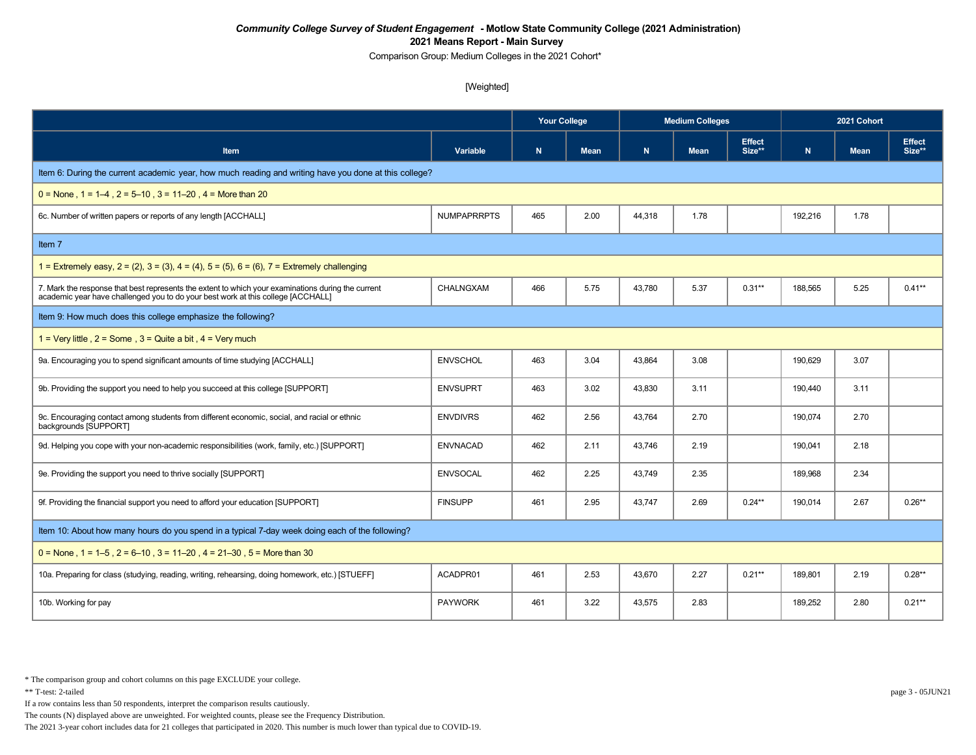Comparison Group: Medium Colleges in the 2021 Cohort\*

### [Weighted]

|                                                                                                                                                                                        |                    | Your College |             |        | <b>Medium Colleges</b> |                         | 2021 Cohort |             |                         |  |
|----------------------------------------------------------------------------------------------------------------------------------------------------------------------------------------|--------------------|--------------|-------------|--------|------------------------|-------------------------|-------------|-------------|-------------------------|--|
| <b>Item</b>                                                                                                                                                                            | Variable           | $\mathsf{N}$ | <b>Mean</b> | N      | <b>Mean</b>            | <b>Effect</b><br>Size** | $\mathbf N$ | <b>Mean</b> | <b>Effect</b><br>Size** |  |
| Item 6: During the current academic year, how much reading and writing have you done at this college?                                                                                  |                    |              |             |        |                        |                         |             |             |                         |  |
| $0 =$ None, $1 = 1-4$ , $2 = 5-10$ , $3 = 11-20$ , $4 =$ More than 20                                                                                                                  |                    |              |             |        |                        |                         |             |             |                         |  |
| 6c. Number of written papers or reports of any length [ACCHALL]                                                                                                                        | <b>NUMPAPRRPTS</b> | 465          | 2.00        | 44,318 | 1.78                   |                         | 192,216     | 1.78        |                         |  |
| Item 7                                                                                                                                                                                 |                    |              |             |        |                        |                         |             |             |                         |  |
| 1 = Extremely easy, $2 = (2)$ , $3 = (3)$ , $4 = (4)$ , $5 = (5)$ , $6 = (6)$ , $7 =$ Extremely challenging                                                                            |                    |              |             |        |                        |                         |             |             |                         |  |
| 7. Mark the response that best represents the extent to which your examinations during the current<br>academic year have challenged you to do your best work at this college [ACCHALL] | CHALNGXAM          | 466          | 5.75        | 43,780 | 5.37                   | $0.31**$                | 188,565     | 5.25        | $0.41***$               |  |
| Item 9: How much does this college emphasize the following?                                                                                                                            |                    |              |             |        |                        |                         |             |             |                         |  |
| 1 = Very little, $2 =$ Some, $3 =$ Quite a bit, $4 =$ Very much                                                                                                                        |                    |              |             |        |                        |                         |             |             |                         |  |
| 9a. Encouraging you to spend significant amounts of time studying [ACCHALL]                                                                                                            | <b>ENVSCHOL</b>    | 463          | 3.04        | 43,864 | 3.08                   |                         | 190,629     | 3.07        |                         |  |
| 9b. Providing the support you need to help you succeed at this college [SUPPORT]                                                                                                       | <b>ENVSUPRT</b>    | 463          | 3.02        | 43,830 | 3.11                   |                         | 190,440     | 3.11        |                         |  |
| 9c. Encouraging contact among students from different economic, social, and racial or ethnic<br>backgrounds [SUPPORT]                                                                  | <b>ENVDIVRS</b>    | 462          | 2.56        | 43,764 | 2.70                   |                         | 190,074     | 2.70        |                         |  |
| 9d. Helping you cope with your non-academic responsibilities (work, family, etc.) [SUPPORT]                                                                                            | <b>ENVNACAD</b>    | 462          | 2.11        | 43,746 | 2.19                   |                         | 190,041     | 2.18        |                         |  |
| 9e. Providing the support you need to thrive socially [SUPPORT]                                                                                                                        | <b>ENVSOCAL</b>    | 462          | 2.25        | 43,749 | 2.35                   |                         | 189,968     | 2.34        |                         |  |
| 9f. Providing the financial support you need to afford your education [SUPPORT]                                                                                                        | <b>FINSUPP</b>     | 461          | 2.95        | 43,747 | 2.69                   | $0.24***$               | 190,014     | 2.67        | $0.26***$               |  |
| Item 10: About how many hours do you spend in a typical 7-day week doing each of the following?                                                                                        |                    |              |             |        |                        |                         |             |             |                         |  |
| $0 =$ None, 1 = 1–5, 2 = 6–10, 3 = 11–20, 4 = 21–30, 5 = More than 30                                                                                                                  |                    |              |             |        |                        |                         |             |             |                         |  |
| 10a. Preparing for class (studying, reading, writing, rehearsing, doing homework, etc.) [STUEFF]                                                                                       | ACADPR01           | 461          | 2.53        | 43,670 | 2.27                   | $0.21**$                | 189,801     | 2.19        | $0.28**$                |  |
| 10b. Working for pay                                                                                                                                                                   | <b>PAYWORK</b>     | 461          | 3.22        | 43,575 | 2.83                   |                         | 189,252     | 2.80        | $0.21**$                |  |

\* The comparison group and cohort columns on this page EXCLUDE your college.

\*\* T-test: 2-tailed page 3 - 05JUN21

If a row contains less than 50 respondents, interpret the comparison results cautiously.

The counts (N) displayed above are unweighted. For weighted counts, please see the Frequency Distribution.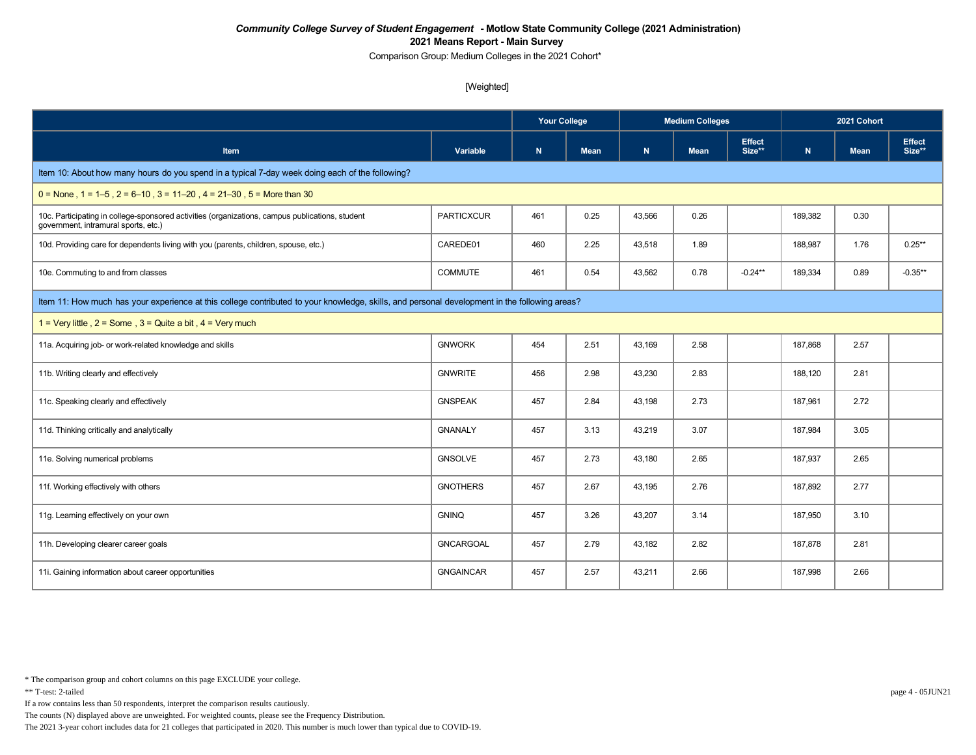Comparison Group: Medium Colleges in the 2021 Cohort\*

### [Weighted]

|                                                                                                                                               |                   | <b>Your College</b> |             | <b>Medium Colleges</b> |             |                         | 2021 Cohort |             |                         |  |
|-----------------------------------------------------------------------------------------------------------------------------------------------|-------------------|---------------------|-------------|------------------------|-------------|-------------------------|-------------|-------------|-------------------------|--|
| <b>Item</b>                                                                                                                                   | Variable          | N                   | <b>Mean</b> | N                      | <b>Mean</b> | <b>Effect</b><br>Size** | N           | <b>Mean</b> | <b>Effect</b><br>Size** |  |
| Item 10: About how many hours do you spend in a typical 7-day week doing each of the following?                                               |                   |                     |             |                        |             |                         |             |             |                         |  |
| $0 =$ None, 1 = 1–5, 2 = 6–10, 3 = 11–20, 4 = 21–30, 5 = More than 30                                                                         |                   |                     |             |                        |             |                         |             |             |                         |  |
| 10c. Participating in college-sponsored activities (organizations, campus publications, student<br>government, intramural sports, etc.)       | <b>PARTICXCUR</b> | 461                 | 0.25        | 43,566                 | 0.26        |                         | 189,382     | 0.30        |                         |  |
| 10d. Providing care for dependents living with you (parents, children, spouse, etc.)                                                          | CAREDE01          | 460                 | 2.25        | 43,518                 | 1.89        |                         | 188,987     | 1.76        | $0.25**$                |  |
| 10e. Commuting to and from classes                                                                                                            | <b>COMMUTE</b>    | 461                 | 0.54        | 43,562                 | 0.78        | $-0.24***$              | 189,334     | 0.89        | $-0.35**$               |  |
| Item 11: How much has your experience at this college contributed to your knowledge, skills, and personal development in the following areas? |                   |                     |             |                        |             |                         |             |             |                         |  |
| 1 = Very little, $2 =$ Some, $3 =$ Quite a bit, $4 =$ Very much                                                                               |                   |                     |             |                        |             |                         |             |             |                         |  |
| 11a. Acquiring job- or work-related knowledge and skills                                                                                      | <b>GNWORK</b>     | 454                 | 2.51        | 43,169                 | 2.58        |                         | 187,868     | 2.57        |                         |  |
| 11b. Writing clearly and effectively                                                                                                          | <b>GNWRITE</b>    | 456                 | 2.98        | 43,230                 | 2.83        |                         | 188,120     | 2.81        |                         |  |
| 11c. Speaking clearly and effectively                                                                                                         | <b>GNSPEAK</b>    | 457                 | 2.84        | 43,198                 | 2.73        |                         | 187,961     | 2.72        |                         |  |
| 11d. Thinking critically and analytically                                                                                                     | <b>GNANALY</b>    | 457                 | 3.13        | 43,219                 | 3.07        |                         | 187,984     | 3.05        |                         |  |
| 11e. Solving numerical problems                                                                                                               | <b>GNSOLVE</b>    | 457                 | 2.73        | 43,180                 | 2.65        |                         | 187,937     | 2.65        |                         |  |
| 11f. Working effectively with others                                                                                                          | <b>GNOTHERS</b>   | 457                 | 2.67        | 43,195                 | 2.76        |                         | 187,892     | 2.77        |                         |  |
| 11g. Learning effectively on your own                                                                                                         | <b>GNINQ</b>      | 457                 | 3.26        | 43,207                 | 3.14        |                         | 187,950     | 3.10        |                         |  |
| 11h. Developing clearer career goals                                                                                                          | <b>GNCARGOAL</b>  | 457                 | 2.79        | 43,182                 | 2.82        |                         | 187,878     | 2.81        |                         |  |
| 11i. Gaining information about career opportunities                                                                                           | <b>GNGAINCAR</b>  | 457                 | 2.57        | 43,211                 | 2.66        |                         | 187,998     | 2.66        |                         |  |

\* The comparison group and cohort columns on this page EXCLUDE your college.

If a row contains less than 50 respondents, interpret the comparison results cautiously.

The counts (N) displayed above are unweighted. For weighted counts, please see the Frequency Distribution.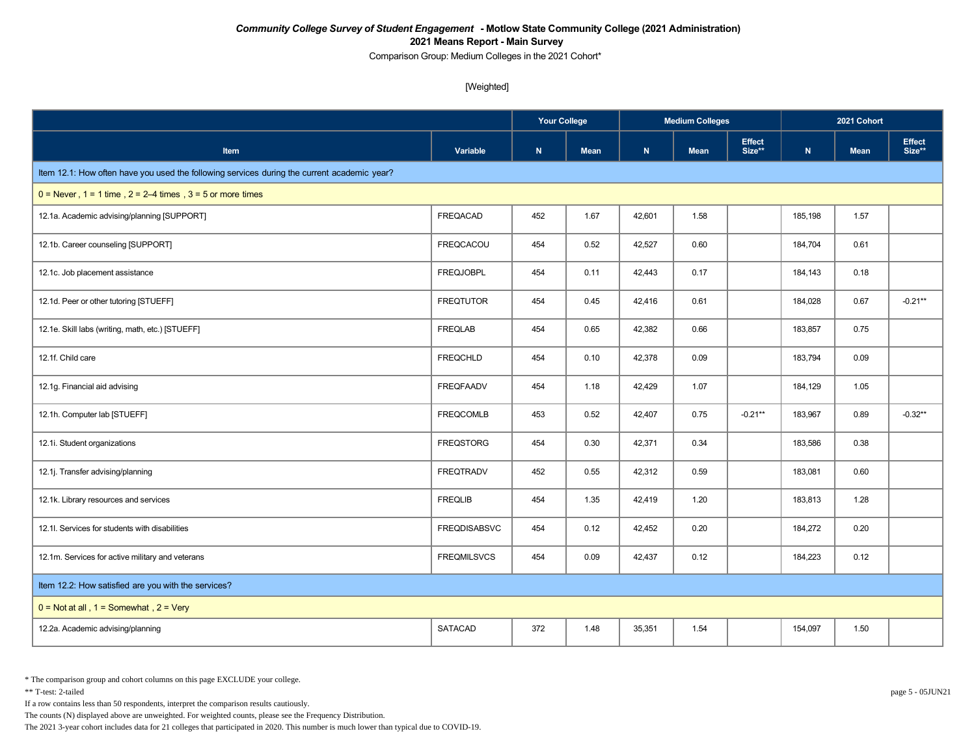Comparison Group: Medium Colleges in the 2021 Cohort\*

[Weighted]

|                                                                                             |                     |             |             |        | <b>Medium Colleges</b> |                         | 2021 Cohort |             |                         |
|---------------------------------------------------------------------------------------------|---------------------|-------------|-------------|--------|------------------------|-------------------------|-------------|-------------|-------------------------|
| <b>Item</b>                                                                                 | Variable            | $\mathbf N$ | <b>Mean</b> | N      | <b>Mean</b>            | <b>Effect</b><br>Size** | ${\bf N}$   | <b>Mean</b> | <b>Effect</b><br>Size** |
| Item 12.1: How often have you used the following services during the current academic year? |                     |             |             |        |                        |                         |             |             |                         |
| $0 =$ Never, $1 = 1$ time, $2 = 2-4$ times, $3 = 5$ or more times                           |                     |             |             |        |                        |                         |             |             |                         |
| 12.1a. Academic advising/planning [SUPPORT]                                                 | <b>FREQACAD</b>     | 452         | 1.67        | 42,601 | 1.58                   |                         | 185,198     | 1.57        |                         |
| 12.1b. Career counseling [SUPPORT]                                                          | <b>FREQCACOU</b>    | 454         | 0.52        | 42,527 | 0.60                   |                         | 184,704     | 0.61        |                         |
| 12.1c. Job placement assistance                                                             | <b>FREQJOBPL</b>    | 454         | 0.11        | 42,443 | 0.17                   |                         | 184,143     | 0.18        |                         |
| 12.1d. Peer or other tutoring [STUEFF]                                                      | <b>FREQTUTOR</b>    | 454         | 0.45        | 42,416 | 0.61                   |                         | 184,028     | 0.67        | $-0.21**$               |
| 12.1e. Skill labs (writing, math, etc.) [STUEFF]                                            | <b>FREQLAB</b>      | 454         | 0.65        | 42,382 | 0.66                   |                         | 183,857     | 0.75        |                         |
| 12.1f. Child care                                                                           | <b>FREQCHLD</b>     | 454         | 0.10        | 42,378 | 0.09                   |                         | 183,794     | 0.09        |                         |
| 12.1g. Financial aid advising                                                               | <b>FREQFAADV</b>    | 454         | 1.18        | 42,429 | 1.07                   |                         | 184,129     | 1.05        |                         |
| 12.1h. Computer lab [STUEFF]                                                                | <b>FREQCOMLB</b>    | 453         | 0.52        | 42,407 | 0.75                   | $-0.21**$               | 183,967     | 0.89        | $-0.32**$               |
| 12.1i. Student organizations                                                                | <b>FREQSTORG</b>    | 454         | 0.30        | 42,371 | 0.34                   |                         | 183.586     | 0.38        |                         |
| 12.1j. Transfer advising/planning                                                           | <b>FREQTRADV</b>    | 452         | 0.55        | 42,312 | 0.59                   |                         | 183,081     | 0.60        |                         |
| 12.1k. Library resources and services                                                       | <b>FREQLIB</b>      | 454         | 1.35        | 42,419 | 1.20                   |                         | 183,813     | 1.28        |                         |
| 12.1I. Services for students with disabilities                                              | <b>FREQDISABSVC</b> | 454         | 0.12        | 42,452 | 0.20                   |                         | 184,272     | 0.20        |                         |
| 12.1m. Services for active military and veterans                                            | <b>FREQMILSVCS</b>  | 454         | 0.09        | 42,437 | 0.12                   |                         | 184,223     | 0.12        |                         |
| Item 12.2: How satisfied are you with the services?                                         |                     |             |             |        |                        |                         |             |             |                         |
| $0 = Not at all$ , $1 = Somewhat$ , $2 = Very$                                              |                     |             |             |        |                        |                         |             |             |                         |
| 12.2a. Academic advising/planning                                                           | <b>SATACAD</b>      | 372         | 1.48        | 35,351 | 1.54                   |                         | 154,097     | 1.50        |                         |

\* The comparison group and cohort columns on this page EXCLUDE your college.

\*\* T-test: 2-tailed page 5 - 05JUN21

If a row contains less than 50 respondents, interpret the comparison results cautiously.

The counts (N) displayed above are unweighted. For weighted counts, please see the Frequency Distribution.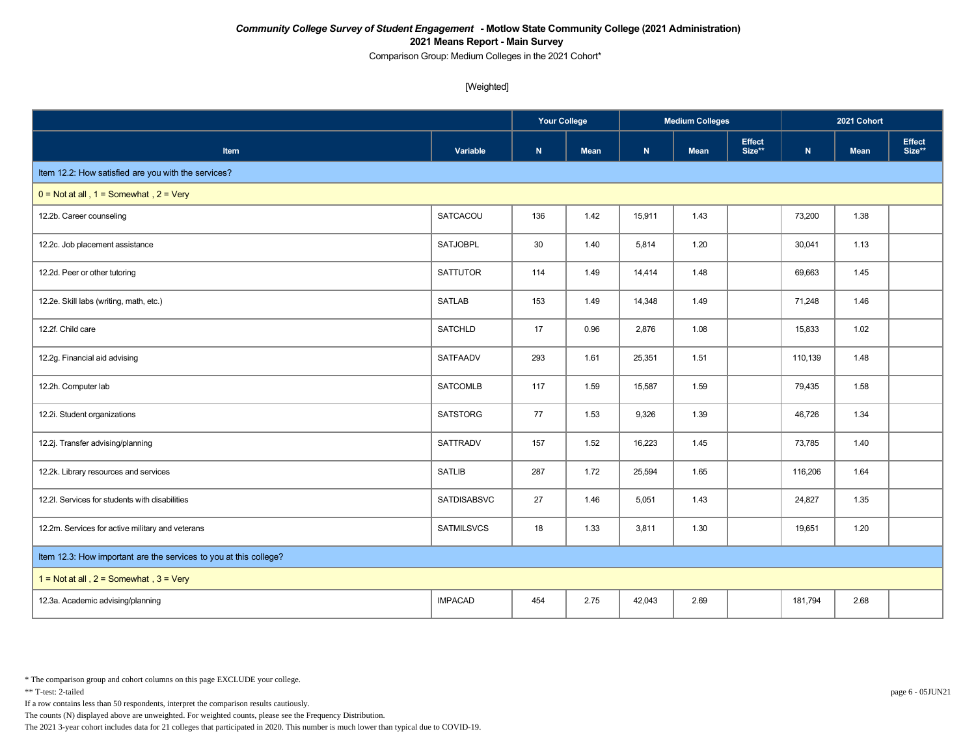Comparison Group: Medium Colleges in the 2021 Cohort\*

[Weighted]

|                                                                   |                    | <b>Your College</b> |      | <b>Medium Colleges</b> |             |                         | 2021 Cohort |             |                  |
|-------------------------------------------------------------------|--------------------|---------------------|------|------------------------|-------------|-------------------------|-------------|-------------|------------------|
| Item                                                              | Variable           | ${\bf N}$           | Mean | ${\bf N}$              | <b>Mean</b> | <b>Effect</b><br>Size** | ${\bf N}$   | <b>Mean</b> | Effect<br>Size** |
| Item 12.2: How satisfied are you with the services?               |                    |                     |      |                        |             |                         |             |             |                  |
| $0 = Not$ at all, $1 = Somewhat$ , $2 = Very$                     |                    |                     |      |                        |             |                         |             |             |                  |
| 12.2b. Career counseling                                          | SATCACOU           | 136                 | 1.42 | 15,911                 | 1.43        |                         | 73,200      | 1.38        |                  |
| 12.2c. Job placement assistance                                   | <b>SATJOBPL</b>    | 30                  | 1.40 | 5,814                  | 1.20        |                         | 30,041      | 1.13        |                  |
| 12.2d. Peer or other tutoring                                     | <b>SATTUTOR</b>    | 114                 | 1.49 | 14,414                 | 1.48        |                         | 69,663      | 1.45        |                  |
| 12.2e. Skill labs (writing, math, etc.)                           | <b>SATLAB</b>      | 153                 | 1.49 | 14,348                 | 1.49        |                         | 71,248      | 1.46        |                  |
| 12.2f. Child care                                                 | <b>SATCHLD</b>     | 17                  | 0.96 | 2,876                  | 1.08        |                         | 15,833      | 1.02        |                  |
| 12.2g. Financial aid advising                                     | <b>SATFAADV</b>    | 293                 | 1.61 | 25,351                 | 1.51        |                         | 110,139     | 1.48        |                  |
| 12.2h. Computer lab                                               | <b>SATCOMLB</b>    | 117                 | 1.59 | 15,587                 | 1.59        |                         | 79,435      | 1.58        |                  |
| 12.2i. Student organizations                                      | <b>SATSTORG</b>    | 77                  | 1.53 | 9,326                  | 1.39        |                         | 46,726      | 1.34        |                  |
| 12.2j. Transfer advising/planning                                 | <b>SATTRADV</b>    | 157                 | 1.52 | 16,223                 | 1.45        |                         | 73,785      | 1.40        |                  |
| 12.2k. Library resources and services                             | <b>SATLIB</b>      | 287                 | 1.72 | 25,594                 | 1.65        |                         | 116,206     | 1.64        |                  |
| 12.2l. Services for students with disabilities                    | <b>SATDISABSVC</b> | 27                  | 1.46 | 5,051                  | 1.43        |                         | 24,827      | 1.35        |                  |
| 12.2m. Services for active military and veterans                  | <b>SATMILSVCS</b>  | 18                  | 1.33 | 3,811                  | 1.30        |                         | 19,651      | 1.20        |                  |
| Item 12.3: How important are the services to you at this college? |                    |                     |      |                        |             |                         |             |             |                  |
| 1 = Not at all, $2 =$ Somewhat, $3 =$ Very                        |                    |                     |      |                        |             |                         |             |             |                  |
| 12.3a. Academic advising/planning                                 | <b>IMPACAD</b>     | 454                 | 2.75 | 42,043                 | 2.69        |                         | 181,794     | 2.68        |                  |

\* The comparison group and cohort columns on this page EXCLUDE your college.

\*\* T-test: 2-tailed page 6 - 05JUN21

If a row contains less than 50 respondents, interpret the comparison results cautiously.

The counts (N) displayed above are unweighted. For weighted counts, please see the Frequency Distribution.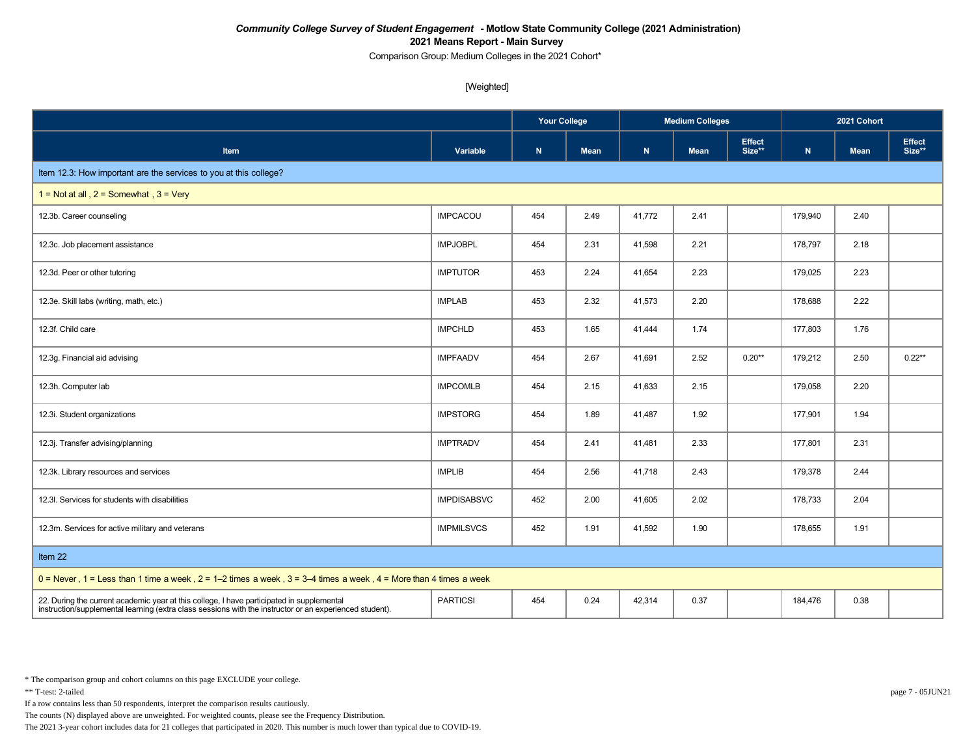Comparison Group: Medium Colleges in the 2021 Cohort\*

[Weighted]

|                                                                                                                                                                                                      |                    | <b>Your College</b> |             |        | <b>Medium Colleges</b> |                         | 2021 Cohort |             |                         |
|------------------------------------------------------------------------------------------------------------------------------------------------------------------------------------------------------|--------------------|---------------------|-------------|--------|------------------------|-------------------------|-------------|-------------|-------------------------|
| <b>Item</b>                                                                                                                                                                                          | Variable           | $\mathbf N$         | <b>Mean</b> | N      | <b>Mean</b>            | <b>Effect</b><br>Size** | ${\bf N}$   | <b>Mean</b> | <b>Effect</b><br>Size** |
| Item 12.3: How important are the services to you at this college?                                                                                                                                    |                    |                     |             |        |                        |                         |             |             |                         |
| $1 = Not at all$ , $2 = Somewhat$ , $3 = Very$                                                                                                                                                       |                    |                     |             |        |                        |                         |             |             |                         |
| 12.3b. Career counseling                                                                                                                                                                             | <b>IMPCACOU</b>    | 454                 | 2.49        | 41,772 | 2.41                   |                         | 179,940     | 2.40        |                         |
| 12.3c. Job placement assistance                                                                                                                                                                      | <b>IMPJOBPL</b>    | 454                 | 2.31        | 41,598 | 2.21                   |                         | 178,797     | 2.18        |                         |
| 12.3d. Peer or other tutoring                                                                                                                                                                        | <b>IMPTUTOR</b>    | 453                 | 2.24        | 41,654 | 2.23                   |                         | 179,025     | 2.23        |                         |
| 12.3e. Skill labs (writing, math, etc.)                                                                                                                                                              | <b>IMPLAB</b>      | 453                 | 2.32        | 41,573 | 2.20                   |                         | 178,688     | 2.22        |                         |
| 12.3f. Child care                                                                                                                                                                                    | <b>IMPCHLD</b>     | 453                 | 1.65        | 41,444 | 1.74                   |                         | 177,803     | 1.76        |                         |
| 12.3g. Financial aid advising                                                                                                                                                                        | <b>IMPFAADV</b>    | 454                 | 2.67        | 41,691 | 2.52                   | $0.20**$                | 179,212     | 2.50        | $0.22**$                |
| 12.3h. Computer lab                                                                                                                                                                                  | <b>IMPCOMLB</b>    | 454                 | 2.15        | 41,633 | 2.15                   |                         | 179,058     | 2.20        |                         |
| 12.3i. Student organizations                                                                                                                                                                         | <b>IMPSTORG</b>    | 454                 | 1.89        | 41,487 | 1.92                   |                         | 177,901     | 1.94        |                         |
| 12.3j. Transfer advising/planning                                                                                                                                                                    | <b>IMPTRADV</b>    | 454                 | 2.41        | 41,481 | 2.33                   |                         | 177,801     | 2.31        |                         |
| 12.3k. Library resources and services                                                                                                                                                                | <b>IMPLIB</b>      | 454                 | 2.56        | 41,718 | 2.43                   |                         | 179,378     | 2.44        |                         |
| 12.3I. Services for students with disabilities                                                                                                                                                       | <b>IMPDISABSVC</b> | 452                 | 2.00        | 41,605 | 2.02                   |                         | 178,733     | 2.04        |                         |
| 12.3m. Services for active military and veterans                                                                                                                                                     | <b>IMPMILSVCS</b>  | 452                 | 1.91        | 41,592 | 1.90                   |                         | 178,655     | 1.91        |                         |
| Item 22                                                                                                                                                                                              |                    |                     |             |        |                        |                         |             |             |                         |
| $0 =$ Never, 1 = Less than 1 time a week, 2 = 1–2 times a week, 3 = 3–4 times a week, 4 = More than 4 times a week                                                                                   |                    |                     |             |        |                        |                         |             |             |                         |
| 22. During the current academic year at this college, I have participated in supplemental<br>instruction/supplemental learning (extra class sessions with the instructor or an experienced student). | <b>PARTICSI</b>    | 454                 | 0.24        | 42,314 | 0.37                   |                         | 184,476     | 0.38        |                         |

\* The comparison group and cohort columns on this page EXCLUDE your college.

\*\* T-test: 2-tailed page 7 - 05JUN21

If a row contains less than 50 respondents, interpret the comparison results cautiously.

The counts (N) displayed above are unweighted. For weighted counts, please see the Frequency Distribution.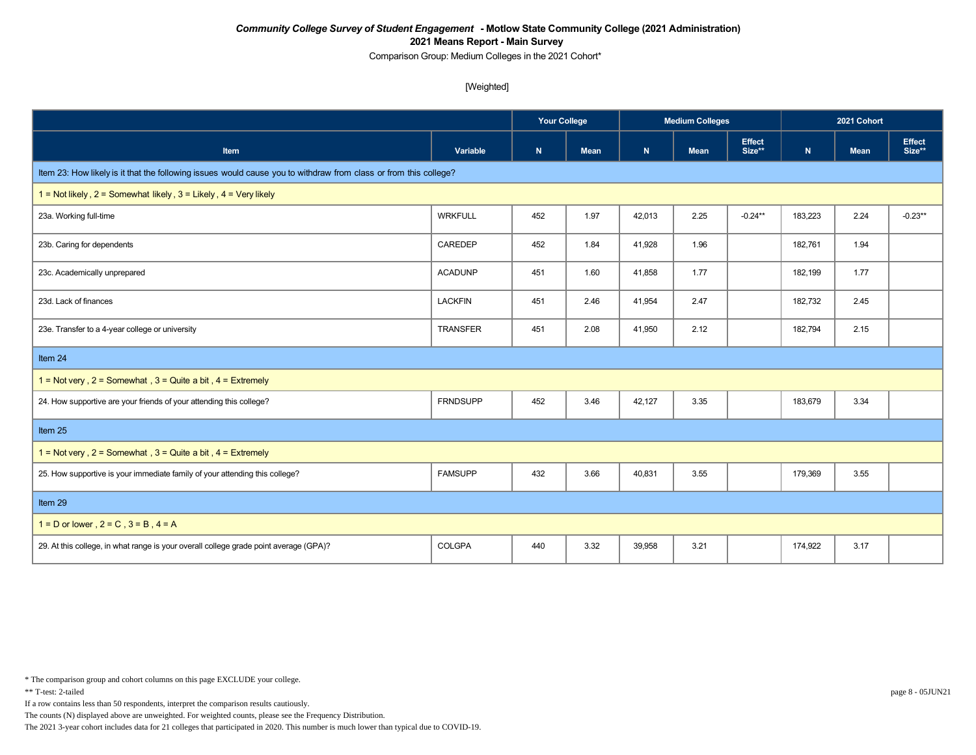Comparison Group: Medium Colleges in the 2021 Cohort\*

[Weighted]

|                                                                                                                  |                 | <b>Your College</b> |             |        | <b>Medium Colleges</b> |                         | 2021 Cohort |             |                         |
|------------------------------------------------------------------------------------------------------------------|-----------------|---------------------|-------------|--------|------------------------|-------------------------|-------------|-------------|-------------------------|
| Item                                                                                                             | Variable        | ${\sf N}$           | <b>Mean</b> | N      | <b>Mean</b>            | <b>Effect</b><br>Size** | ${\bf N}$   | <b>Mean</b> | <b>Effect</b><br>Size** |
| Item 23: How likely is it that the following issues would cause you to withdraw from class or from this college? |                 |                     |             |        |                        |                         |             |             |                         |
| 1 = Not likely, $2 =$ Somewhat likely, $3 =$ Likely, $4 =$ Very likely                                           |                 |                     |             |        |                        |                         |             |             |                         |
| 23a. Working full-time                                                                                           | <b>WRKFULL</b>  | 452                 | 1.97        | 42,013 | 2.25                   | $-0.24***$              | 183,223     | 2.24        | $-0.23**$               |
| 23b. Caring for dependents                                                                                       | CAREDEP         | 452                 | 1.84        | 41,928 | 1.96                   |                         | 182,761     | 1.94        |                         |
| 23c. Academically unprepared                                                                                     | <b>ACADUNP</b>  | 451                 | 1.60        | 41,858 | 1.77                   |                         | 182,199     | 1.77        |                         |
| 23d. Lack of finances                                                                                            | <b>LACKFIN</b>  | 451                 | 2.46        | 41,954 | 2.47                   |                         | 182,732     | 2.45        |                         |
| 23e. Transfer to a 4-year college or university                                                                  | <b>TRANSFER</b> | 451                 | 2.08        | 41,950 | 2.12                   |                         | 182,794     | 2.15        |                         |
| Item 24                                                                                                          |                 |                     |             |        |                        |                         |             |             |                         |
| 1 = Not very, $2 =$ Somewhat, $3 =$ Quite a bit, $4 =$ Extremely                                                 |                 |                     |             |        |                        |                         |             |             |                         |
| 24. How supportive are your friends of your attending this college?                                              | <b>FRNDSUPP</b> | 452                 | 3.46        | 42,127 | 3.35                   |                         | 183,679     | 3.34        |                         |
| Item 25                                                                                                          |                 |                     |             |        |                        |                         |             |             |                         |
| 1 = Not very, $2 =$ Somewhat, $3 =$ Quite a bit, $4 =$ Extremely                                                 |                 |                     |             |        |                        |                         |             |             |                         |
| 25. How supportive is your immediate family of your attending this college?                                      | <b>FAMSUPP</b>  | 432                 | 3.66        | 40,831 | 3.55                   |                         | 179,369     | 3.55        |                         |
| Item 29                                                                                                          |                 |                     |             |        |                        |                         |             |             |                         |
| $1 = D$ or lower, $2 = C$ , $3 = B$ , $4 = A$                                                                    |                 |                     |             |        |                        |                         |             |             |                         |
| 29. At this college, in what range is your overall college grade point average (GPA)?                            | COLGPA          | 440                 | 3.32        | 39,958 | 3.21                   |                         | 174,922     | 3.17        |                         |

\* The comparison group and cohort columns on this page EXCLUDE your college.

\*\* T-test: 2-tailed page 8 - 05JUN21

If a row contains less than 50 respondents, interpret the comparison results cautiously.

The counts (N) displayed above are unweighted. For weighted counts, please see the Frequency Distribution.